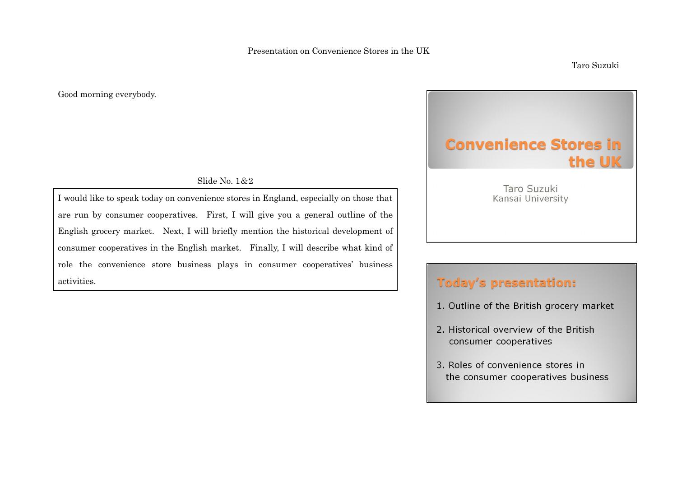Good morning everybody.

Slide No. 1&2

I would like to speak today on convenience stores in England, especially on those that are run by consumer cooperatives. First, I will give you a general outline of the English grocery market. Next, I will briefly mention the historical development of consumer cooperatives in the English market. Finally, I will describe what kind of role the convenience store business plays in consumer cooperatives' business activities.

# **Convenience Stores in** the UK

Taro Suzuki Kansai University

# **Today's presentation:**

- 1. Outline of the British grocery market
- 2. Historical overview of the British consumer cooperatives
- 3. Roles of convenience stores in the consumer cooperatives business

Taro Suzuki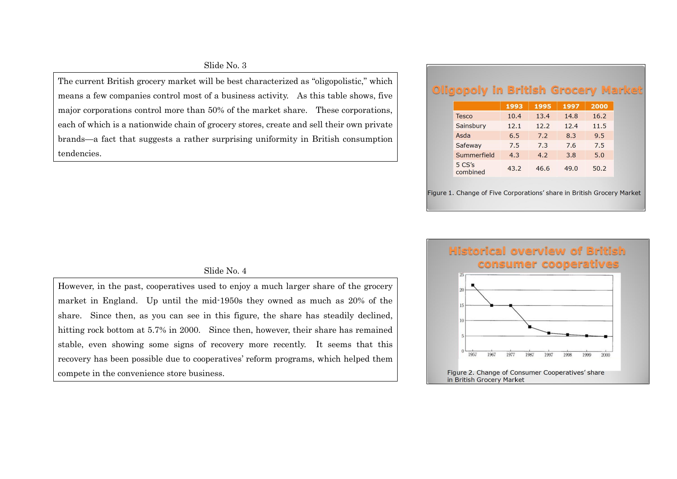#### Slide No. 3

The current British grocery market will be best characterized as "oligopolistic," which means a few companies control most of a business activity. As this table shows, five major corporations control more than 50% of the market share. These corporations, each of which is a nationwide chain of grocery stores, create and sell their own private brands—a fact that suggests a rather surprising uniformity in British consumption tendencies.

# **Oligopoly in British Grocery Market**

|                    | 1993 | 1995 | 1997 | 2000 |
|--------------------|------|------|------|------|
| <b>Tesco</b>       | 10.4 | 13.4 | 14.8 | 16.2 |
| Sainsbury          | 12.1 | 12.2 | 12.4 | 11.5 |
| Asda               | 6.5  | 7.2  | 8.3  | 9.5  |
| Safeway            | 7.5  | 7.3  | 7.6  | 7.5  |
| Summerfield        | 4.3  | 4.2  | 3.8  | 5.0  |
| 5 CS's<br>combined | 43.2 | 46.6 | 49.0 | 50.2 |

Figure 1. Change of Five Corporations' share in British Grocery Market



#### Slide No. 4

However, in the past, cooperatives used to enjoy a much larger share of the grocery market in England. Up until the mid-1950s they owned as much as 20% of the share. Since then, as you can see in this figure, the share has steadily declined, hitting rock bottom at 5.7% in 2000. Since then, however, their share has remained stable, even showing some signs of recovery more recently. It seems that this recovery has been possible due to cooperatives' reform programs, which helped them compete in the convenience store business.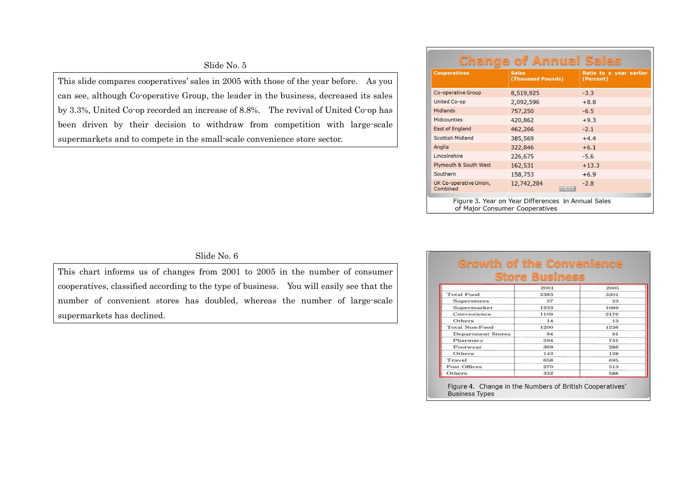#### Slide No. 5

This slide compares cooperatives' sales in 2005 with those of the year before. As you can see, although Co-operative Group, the leader in the business, decreased its sales by 3.3%, United Co-op recorded an increase of 8.8%. The revival of United Co-op has been driven by their decision to withdraw from competition with large-scale supermarkets and to compete in the small-scale convenience store sector.

|                                    | <b>Change of Annual Sales</b>                      |                                      |
|------------------------------------|----------------------------------------------------|--------------------------------------|
| <b>Cooperatives</b>                | <b>Sales</b><br>(Thousand Pounds)                  | Ratio to a year earlier<br>(Percent) |
| Co-operative Group                 | 8,519,925                                          | $-3.3$                               |
| <b>United Co-op</b>                | 2,092,596                                          | $+8.8$                               |
| <b>Midlands</b>                    | 757,250                                            | $-6.5$                               |
| <b>Midcounties</b>                 | 420,862                                            | $+9.3$                               |
| <b>East of England</b>             | 462,266                                            | $-2.1$                               |
| Scottish Midland                   | 385,569                                            | $+4.4$                               |
| Anglia                             | 322,846                                            | $+6.1$                               |
| Lincolnshire                       | 226,675                                            | $-5.6$                               |
| <b>Plymouth &amp; South West</b>   | 162,531                                            | $+13.3$                              |
| Southern                           | 158,753                                            | $+6.9$                               |
| UK Co-operative Union,<br>Combined | 12,742,284<br>区窗窗                                  | $-2.8$                               |
| of Major Consumer Cooperatives     | Figure 3. Year on Year Differences in Annual Sales |                                      |

#### Slide No. 6

This chart informs us of changes from 2001 to 2005 in the number of consumer cooperatives, classified according to the type of business. You will easily see that the number of convenient stores has doubled, whereas the number of large-scale supermarkets has declined.

### **Growth of the Convenience Store Business**

|                          | 2001 | 2005 |
|--------------------------|------|------|
| <b>Total Food</b>        | 2383 | 3301 |
| <b>Superstores</b>       | 27   | 23   |
| Supermarket              | 1233 | 1089 |
| Convenience              | 1109 | 2176 |
| Others                   | 14   | 13   |
| Total Non-Food           | 1200 | 1236 |
| <b>Department Stores</b> | 94   | 91   |
| Pharmacy                 | 594  | 731  |
| Footwear                 | 369  | 286  |
| Others                   | 143  | 128  |
| Travel                   | 658  | 695  |
| <b>Post Offices</b>      | 270  | 513  |
| Others                   | 332  | 586  |

Figure 4. Change in the Numbers of British Cooperatives' **Business Types**